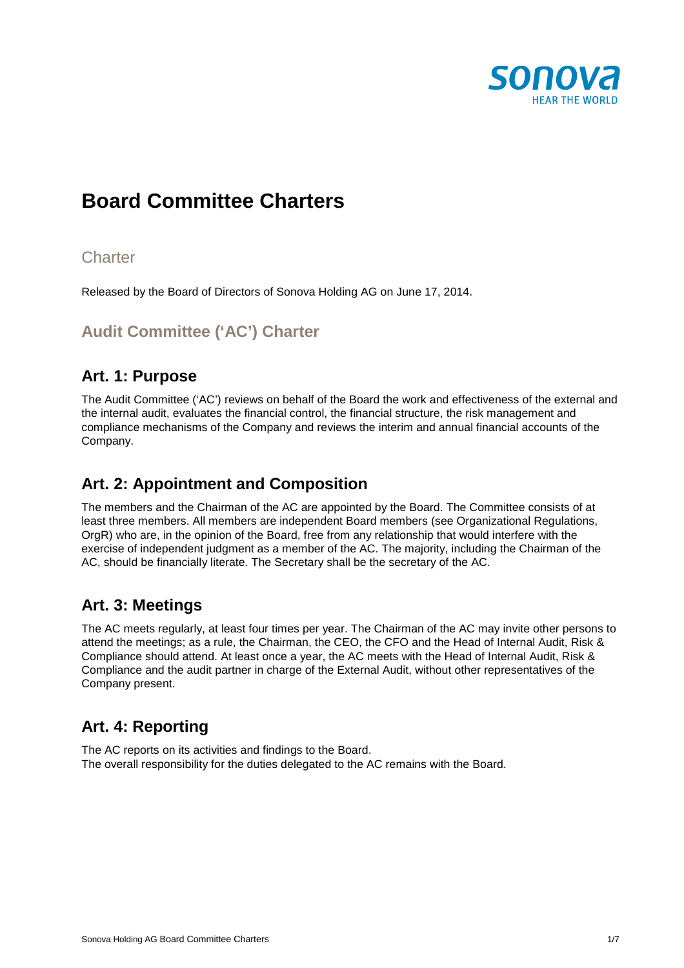

# **Board Committee Charters**

### **Charter**

Released by the Board of Directors of Sonova Holding AG on June 17, 2014.

### **Audit Committee ('AC') Charter**

### **Art. 1: Purpose**

The Audit Committee ('AC') reviews on behalf of the Board the work and effectiveness of the external and the internal audit, evaluates the financial control, the financial structure, the risk management and compliance mechanisms of the Company and reviews the interim and annual financial accounts of the Company.

### **Art. 2: Appointment and Composition**

The members and the Chairman of the AC are appointed by the Board. The Committee consists of at least three members. All members are independent Board members (see Organizational Regulations, OrgR) who are, in the opinion of the Board, free from any relationship that would interfere with the exercise of independent judgment as a member of the AC. The majority, including the Chairman of the AC, should be financially literate. The Secretary shall be the secretary of the AC.

### **Art. 3: Meetings**

The AC meets regularly, at least four times per year. The Chairman of the AC may invite other persons to attend the meetings; as a rule, the Chairman, the CEO, the CFO and the Head of Internal Audit, Risk & Compliance should attend. At least once a year, the AC meets with the Head of Internal Audit, Risk & Compliance and the audit partner in charge of the External Audit, without other representatives of the Company present.

### **Art. 4: Reporting**

The AC reports on its activities and findings to the Board. The overall responsibility for the duties delegated to the AC remains with the Board.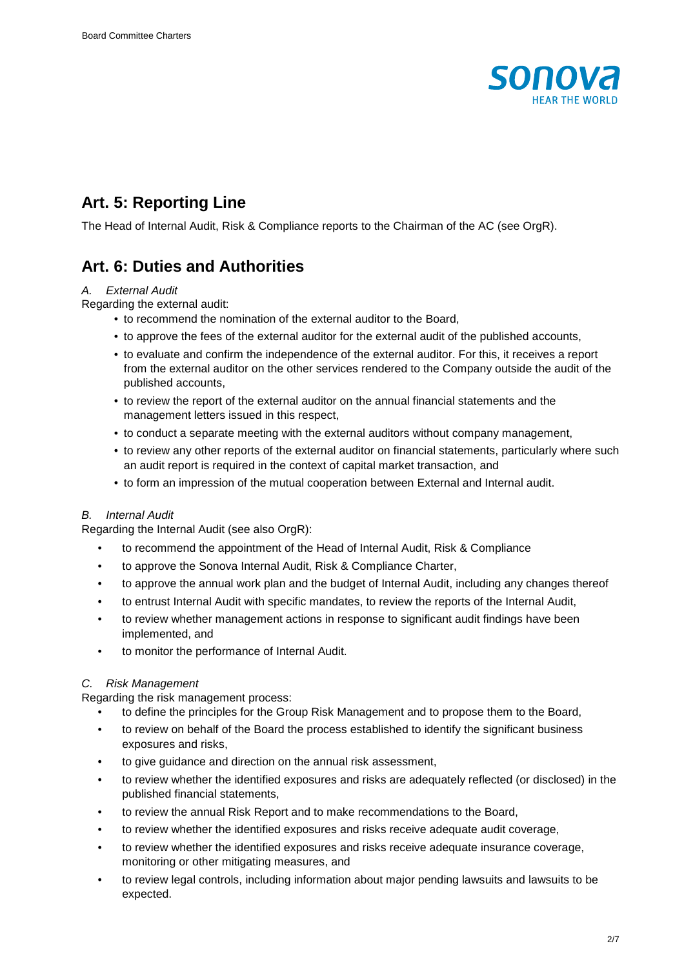

### **Art. 5: Reporting Line**

The Head of Internal Audit, Risk & Compliance reports to the Chairman of the AC (see OrgR).

### **Art. 6: Duties and Authorities**

#### A. External Audit

#### Regarding the external audit:

- to recommend the nomination of the external auditor to the Board,
- to approve the fees of the external auditor for the external audit of the published accounts,
- to evaluate and confirm the independence of the external auditor. For this, it receives a report from the external auditor on the other services rendered to the Company outside the audit of the published accounts,
- to review the report of the external auditor on the annual financial statements and the management letters issued in this respect,
- to conduct a separate meeting with the external auditors without company management,
- to review any other reports of the external auditor on financial statements, particularly where such an audit report is required in the context of capital market transaction, and
- to form an impression of the mutual cooperation between External and Internal audit.

#### B. Internal Audit

Regarding the Internal Audit (see also OrgR):

- to recommend the appointment of the Head of Internal Audit, Risk & Compliance
- to approve the Sonova Internal Audit, Risk & Compliance Charter,
- to approve the annual work plan and the budget of Internal Audit, including any changes thereof
- to entrust Internal Audit with specific mandates, to review the reports of the Internal Audit,
- to review whether management actions in response to significant audit findings have been implemented, and
- to monitor the performance of Internal Audit.

#### C. Risk Management

Regarding the risk management process:

- to define the principles for the Group Risk Management and to propose them to the Board,
- to review on behalf of the Board the process established to identify the significant business exposures and risks,
- to give guidance and direction on the annual risk assessment.
- to review whether the identified exposures and risks are adequately reflected (or disclosed) in the published financial statements,
- to review the annual Risk Report and to make recommendations to the Board,
- to review whether the identified exposures and risks receive adequate audit coverage,
- to review whether the identified exposures and risks receive adequate insurance coverage, monitoring or other mitigating measures, and
- to review legal controls, including information about major pending lawsuits and lawsuits to be expected.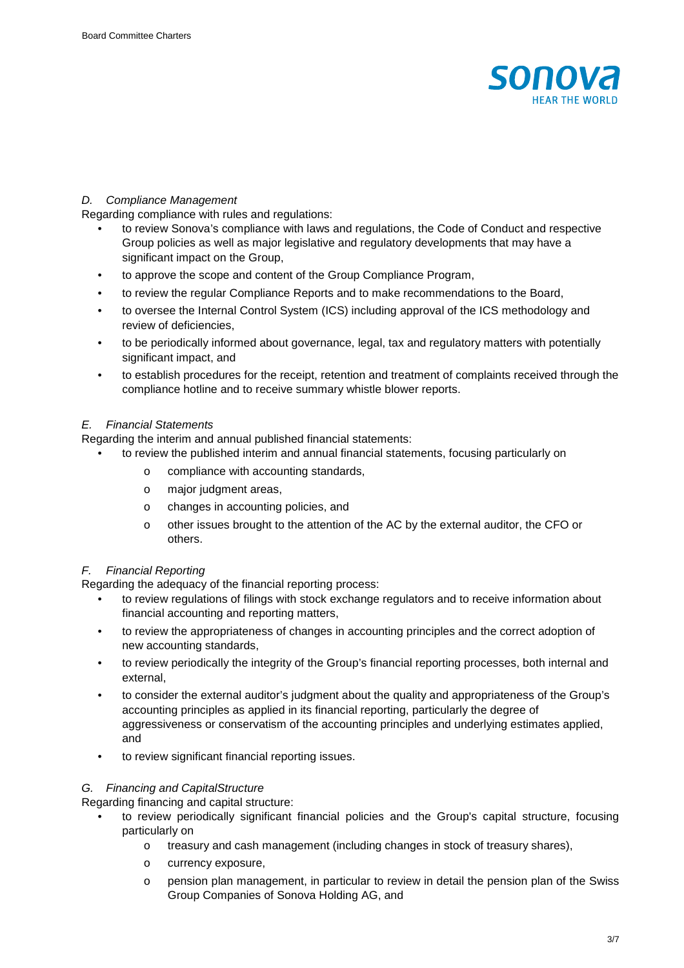

#### D. Compliance Management

Regarding compliance with rules and regulations:

- to review Sonova's compliance with laws and regulations, the Code of Conduct and respective Group policies as well as major legislative and regulatory developments that may have a significant impact on the Group,
- to approve the scope and content of the Group Compliance Program,
- to review the regular Compliance Reports and to make recommendations to the Board,
- to oversee the Internal Control System (ICS) including approval of the ICS methodology and review of deficiencies,
- to be periodically informed about governance, legal, tax and regulatory matters with potentially significant impact, and
- to establish procedures for the receipt, retention and treatment of complaints received through the compliance hotline and to receive summary whistle blower reports.

#### E. Financial Statements

Regarding the interim and annual published financial statements:

- to review the published interim and annual financial statements, focusing particularly on
	- o compliance with accounting standards,
	- o major judgment areas,
	- o changes in accounting policies, and
	- o other issues brought to the attention of the AC by the external auditor, the CFO or others.

#### F. Financial Reporting

Regarding the adequacy of the financial reporting process:

- to review regulations of filings with stock exchange regulators and to receive information about financial accounting and reporting matters,
- to review the appropriateness of changes in accounting principles and the correct adoption of new accounting standards,
- to review periodically the integrity of the Group's financial reporting processes, both internal and external,
- to consider the external auditor's judgment about the quality and appropriateness of the Group's accounting principles as applied in its financial reporting, particularly the degree of aggressiveness or conservatism of the accounting principles and underlying estimates applied, and
- to review significant financial reporting issues.

#### G. Financing and CapitalStructure

Regarding financing and capital structure:

- to review periodically significant financial policies and the Group's capital structure, focusing particularly on
	- o treasury and cash management (including changes in stock of treasury shares),
	- o currency exposure,
	- o pension plan management, in particular to review in detail the pension plan of the Swiss Group Companies of Sonova Holding AG, and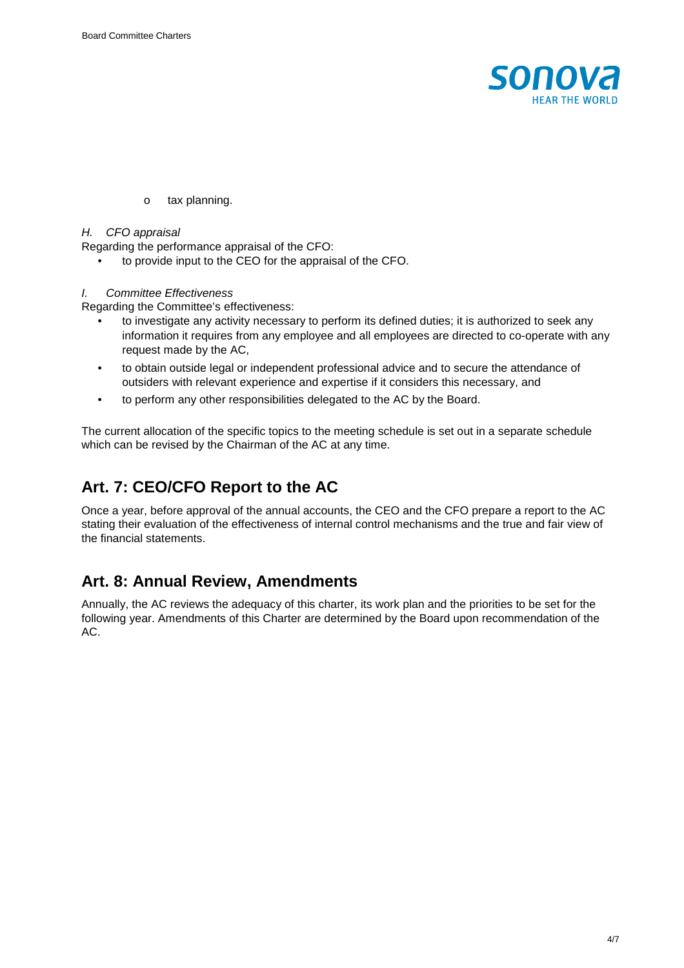

o tax planning.

#### H. CFO appraisal

Regarding the performance appraisal of the CFO:

• to provide input to the CEO for the appraisal of the CFO.

#### I. Committee Effectiveness

Regarding the Committee's effectiveness:

- to investigate any activity necessary to perform its defined duties; it is authorized to seek any information it requires from any employee and all employees are directed to co-operate with any request made by the AC,
- to obtain outside legal or independent professional advice and to secure the attendance of outsiders with relevant experience and expertise if it considers this necessary, and
- to perform any other responsibilities delegated to the AC by the Board.

The current allocation of the specific topics to the meeting schedule is set out in a separate schedule which can be revised by the Chairman of the AC at any time.

### **Art. 7: CEO/CFO Report to the AC**

Once a year, before approval of the annual accounts, the CEO and the CFO prepare a report to the AC stating their evaluation of the effectiveness of internal control mechanisms and the true and fair view of the financial statements.

### **Art. 8: Annual Review, Amendments**

Annually, the AC reviews the adequacy of this charter, its work plan and the priorities to be set for the following year. Amendments of this Charter are determined by the Board upon recommendation of the AC.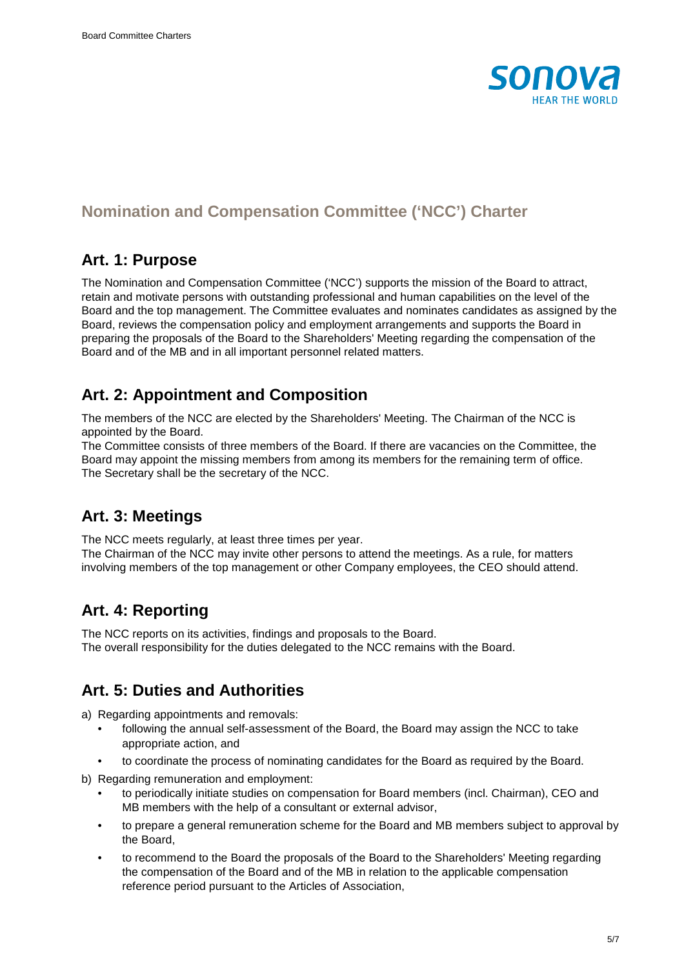

### **Nomination and Compensation Committee ('NCC') Charter**

### **Art. 1: Purpose**

The Nomination and Compensation Committee ('NCC') supports the mission of the Board to attract, retain and motivate persons with outstanding professional and human capabilities on the level of the Board and the top management. The Committee evaluates and nominates candidates as assigned by the Board, reviews the compensation policy and employment arrangements and supports the Board in preparing the proposals of the Board to the Shareholders' Meeting regarding the compensation of the Board and of the MB and in all important personnel related matters.

### **Art. 2: Appointment and Composition**

The members of the NCC are elected by the Shareholders' Meeting. The Chairman of the NCC is appointed by the Board.

The Committee consists of three members of the Board. If there are vacancies on the Committee, the Board may appoint the missing members from among its members for the remaining term of office. The Secretary shall be the secretary of the NCC.

### **Art. 3: Meetings**

The NCC meets regularly, at least three times per year. The Chairman of the NCC may invite other persons to attend the meetings. As a rule, for matters involving members of the top management or other Company employees, the CEO should attend.

### **Art. 4: Reporting**

The NCC reports on its activities, findings and proposals to the Board. The overall responsibility for the duties delegated to the NCC remains with the Board.

### **Art. 5: Duties and Authorities**

a) Regarding appointments and removals:

- following the annual self-assessment of the Board, the Board may assign the NCC to take appropriate action, and
- to coordinate the process of nominating candidates for the Board as required by the Board.
- b) Regarding remuneration and employment:
	- to periodically initiate studies on compensation for Board members (incl. Chairman), CEO and MB members with the help of a consultant or external advisor,
	- to prepare a general remuneration scheme for the Board and MB members subject to approval by the Board,
	- to recommend to the Board the proposals of the Board to the Shareholders' Meeting regarding the compensation of the Board and of the MB in relation to the applicable compensation reference period pursuant to the Articles of Association,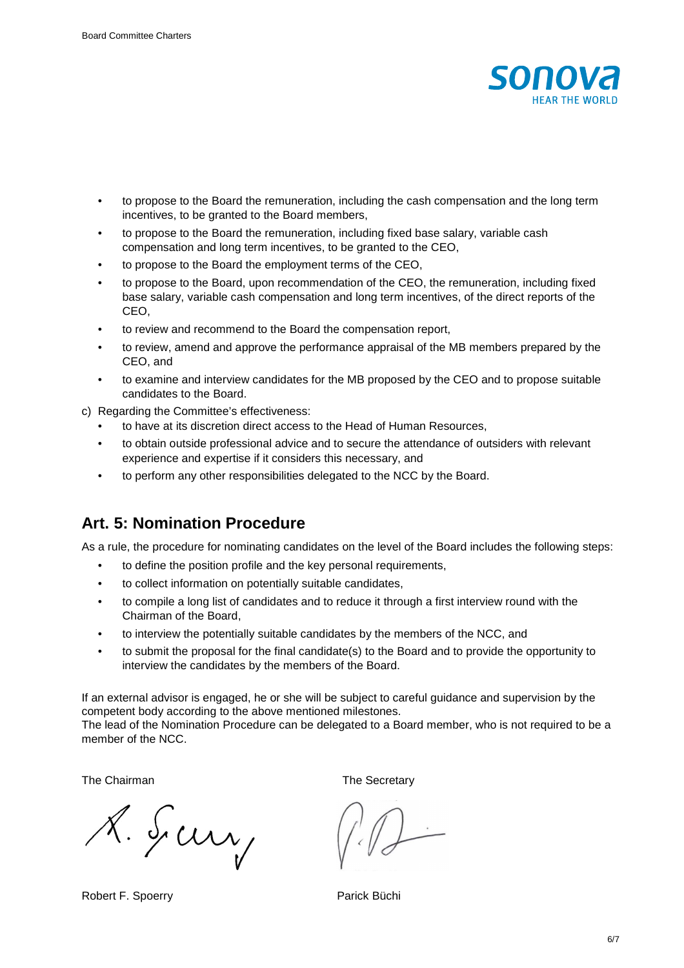

- to propose to the Board the remuneration, including the cash compensation and the long term incentives, to be granted to the Board members,
- to propose to the Board the remuneration, including fixed base salary, variable cash compensation and long term incentives, to be granted to the CEO,
- to propose to the Board the employment terms of the CEO,
- to propose to the Board, upon recommendation of the CEO, the remuneration, including fixed base salary, variable cash compensation and long term incentives, of the direct reports of the CEO,
- to review and recommend to the Board the compensation report,
- to review, amend and approve the performance appraisal of the MB members prepared by the CEO, and
- to examine and interview candidates for the MB proposed by the CEO and to propose suitable candidates to the Board.
- c) Regarding the Committee's effectiveness:
	- to have at its discretion direct access to the Head of Human Resources,
	- to obtain outside professional advice and to secure the attendance of outsiders with relevant experience and expertise if it considers this necessary, and
	- to perform any other responsibilities delegated to the NCC by the Board.

### **Art. 5: Nomination Procedure**

As a rule, the procedure for nominating candidates on the level of the Board includes the following steps:

- to define the position profile and the key personal requirements,
- to collect information on potentially suitable candidates,
- to compile a long list of candidates and to reduce it through a first interview round with the Chairman of the Board,
- to interview the potentially suitable candidates by the members of the NCC, and
- to submit the proposal for the final candidate(s) to the Board and to provide the opportunity to interview the candidates by the members of the Board.

If an external advisor is engaged, he or she will be subject to careful guidance and supervision by the competent body according to the above mentioned milestones.

The lead of the Nomination Procedure can be delegated to a Board member, who is not required to be a member of the NCC.

The Chairman The Secretary

8. Sury

Robert F. Spoerry **Parick Büchi** 

6/7